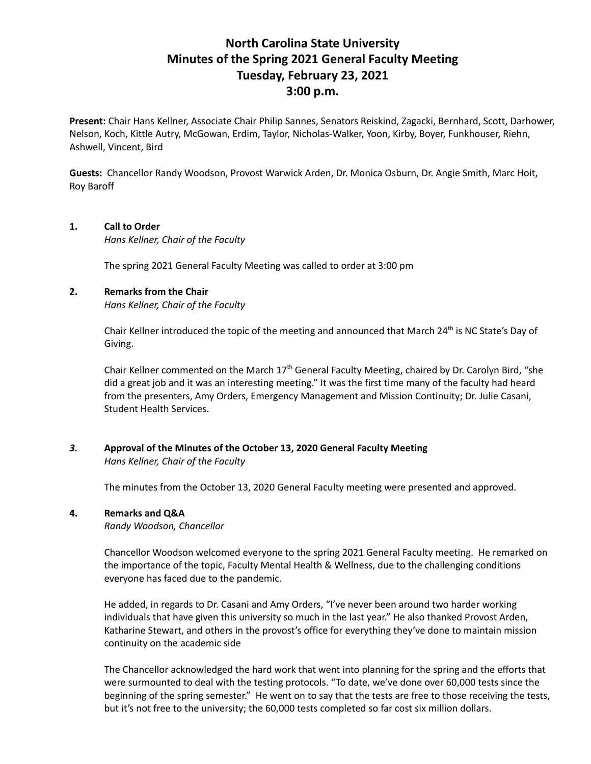# **North Carolina State University Minutes of the Spring 2021 General Faculty Meeting Tuesday, February 23, 2021 3:00 p.m.**

**Present:** Chair Hans Kellner, Associate Chair Philip Sannes, Senators Reiskind, Zagacki, Bernhard, Scott, Darhower, Nelson, Koch, Kittle Autry, McGowan, Erdim, Taylor, Nicholas-Walker, Yoon, Kirby, Boyer, Funkhouser, Riehn, Ashwell, Vincent, Bird

**Guests:** Chancellor Randy Woodson, Provost Warwick Arden, Dr. Monica Osburn, Dr. Angie Smith, Marc Hoit, Roy Baroff

### **1. Call to Order**

*Hans Kellner, Chair of the Faculty*

The spring 2021 General Faculty Meeting was called to order at 3:00 pm

## **2. Remarks from the Chair**

*Hans Kellner, Chair of the Faculty*

Chair Kellner introduced the topic of the meeting and announced that March 24<sup>th</sup> is NC State's Day of Giving.

Chair Kellner commented on the March  $17<sup>th</sup>$  General Faculty Meeting, chaired by Dr. Carolyn Bird, "she did a great job and it was an interesting meeting." It was the first time many of the faculty had heard from the presenters, Amy Orders, Emergency Management and Mission Continuity; Dr. Julie Casani, Student Health Services.

*3.* **Approval of the Minutes of the October 13, 2020 General Faculty Meeting** *Hans Kellner, Chair of the Faculty*

The minutes from the October 13, 2020 General Faculty meeting were presented and approved.

## **4. Remarks and Q&A**

*Randy Woodson, Chancellor*

Chancellor Woodson welcomed everyone to the spring 2021 General Faculty meeting. He remarked on the importance of the topic, Faculty Mental Health & Wellness, due to the challenging conditions everyone has faced due to the pandemic.

He added, in regards to Dr. Casani and Amy Orders, "I've never been around two harder working individuals that have given this university so much in the last year." He also thanked Provost Arden, Katharine Stewart, and others in the provost's office for everything they've done to maintain mission continuity on the academic side

The Chancellor acknowledged the hard work that went into planning for the spring and the efforts that were surmounted to deal with the testing protocols. "To date, we've done over 60,000 tests since the beginning of the spring semester." He went on to say that the tests are free to those receiving the tests, but it's not free to the university; the 60,000 tests completed so far cost six million dollars.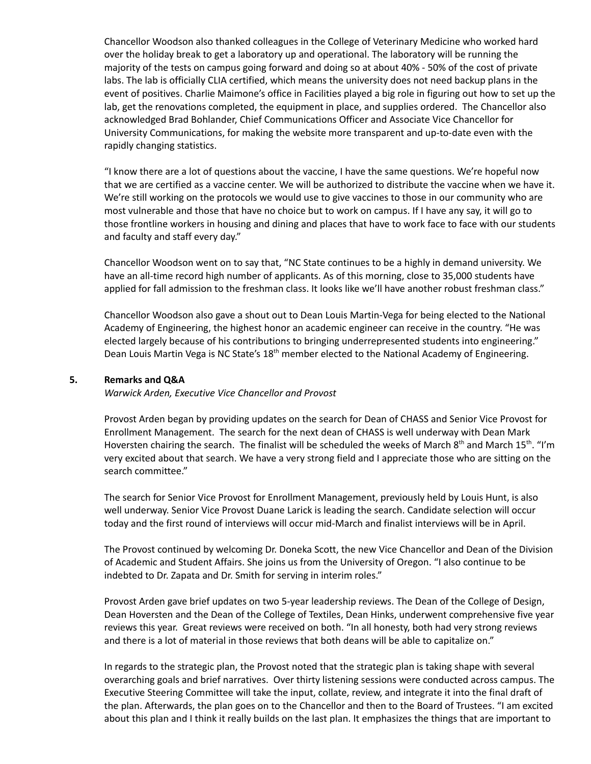Chancellor Woodson also thanked colleagues in the College of Veterinary Medicine who worked hard over the holiday break to get a laboratory up and operational. The laboratory will be running the majority of the tests on campus going forward and doing so at about 40% - 50% of the cost of private labs. The lab is officially CLIA certified, which means the university does not need backup plans in the event of positives. Charlie Maimone's office in Facilities played a big role in figuring out how to set up the lab, get the renovations completed, the equipment in place, and supplies ordered. The Chancellor also acknowledged Brad Bohlander, Chief Communications Officer and Associate Vice Chancellor for University Communications, for making the website more transparent and up-to-date even with the rapidly changing statistics.

"I know there are a lot of questions about the vaccine, I have the same questions. We're hopeful now that we are certified as a vaccine center. We will be authorized to distribute the vaccine when we have it. We're still working on the protocols we would use to give vaccines to those in our community who are most vulnerable and those that have no choice but to work on campus. If I have any say, it will go to those frontline workers in housing and dining and places that have to work face to face with our students and faculty and staff every day."

Chancellor Woodson went on to say that, "NC State continues to be a highly in demand university. We have an all-time record high number of applicants. As of this morning, close to 35,000 students have applied for fall admission to the freshman class. It looks like we'll have another robust freshman class."

Chancellor Woodson also gave a shout out to Dean Louis Martin-Vega for being elected to the National Academy of Engineering, the highest honor an academic engineer can receive in the country. "He was elected largely because of his contributions to bringing underrepresented students into engineering." Dean Louis Martin Vega is NC State's 18<sup>th</sup> member elected to the National Academy of Engineering.

#### **5. Remarks and Q&A**

*Warwick Arden, Executive Vice Chancellor and Provost*

Provost Arden began by providing updates on the search for Dean of CHASS and Senior Vice Provost for Enrollment Management. The search for the next dean of CHASS is well underway with Dean Mark Hoversten chairing the search. The finalist will be scheduled the weeks of March  $8<sup>th</sup>$  and March 15<sup>th</sup>. "I'm very excited about that search. We have a very strong field and I appreciate those who are sitting on the search committee."

The search for Senior Vice Provost for Enrollment Management, previously held by Louis Hunt, is also well underway. Senior Vice Provost Duane Larick is leading the search. Candidate selection will occur today and the first round of interviews will occur mid-March and finalist interviews will be in April.

The Provost continued by welcoming Dr. Doneka Scott, the new Vice Chancellor and Dean of the Division of Academic and Student Affairs. She joins us from the University of Oregon. "I also continue to be indebted to Dr. Zapata and Dr. Smith for serving in interim roles."

Provost Arden gave brief updates on two 5-year leadership reviews. The Dean of the College of Design, Dean Hoversten and the Dean of the College of Textiles, Dean Hinks, underwent comprehensive five year reviews this year. Great reviews were received on both. "In all honesty, both had very strong reviews and there is a lot of material in those reviews that both deans will be able to capitalize on."

In regards to the strategic plan, the Provost noted that the strategic plan is taking shape with several overarching goals and brief narratives. Over thirty listening sessions were conducted across campus. The Executive Steering Committee will take the input, collate, review, and integrate it into the final draft of the plan. Afterwards, the plan goes on to the Chancellor and then to the Board of Trustees. "I am excited about this plan and I think it really builds on the last plan. It emphasizes the things that are important to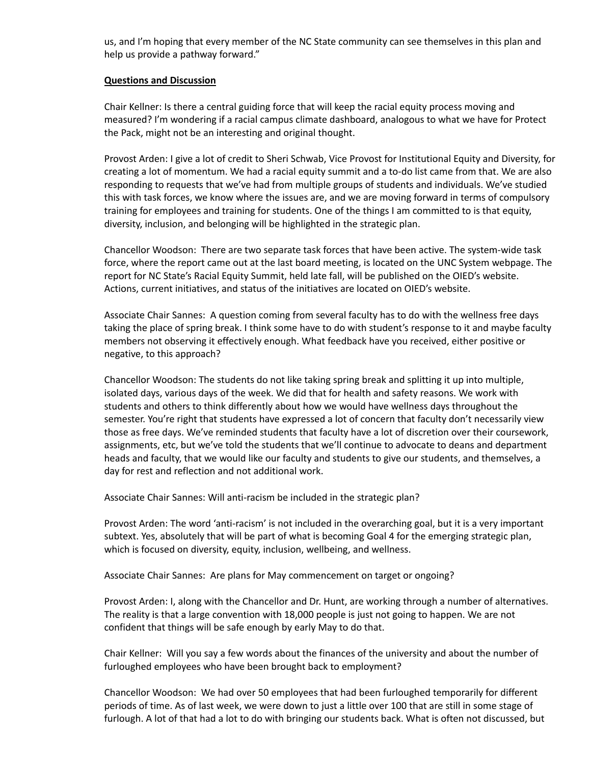us, and I'm hoping that every member of the NC State community can see themselves in this plan and help us provide a pathway forward."

#### **Questions and Discussion**

Chair Kellner: Is there a central guiding force that will keep the racial equity process moving and measured? I'm wondering if a racial campus climate dashboard, analogous to what we have for Protect the Pack, might not be an interesting and original thought.

Provost Arden: I give a lot of credit to Sheri Schwab, Vice Provost for Institutional Equity and Diversity, for creating a lot of momentum. We had a racial equity summit and a to-do list came from that. We are also responding to requests that we've had from multiple groups of students and individuals. We've studied this with task forces, we know where the issues are, and we are moving forward in terms of compulsory training for employees and training for students. One of the things I am committed to is that equity, diversity, inclusion, and belonging will be highlighted in the strategic plan.

Chancellor Woodson: There are two separate task forces that have been active. The system-wide task force, where the report came out at the last board meeting, is located on the UNC System webpage. The report for NC State's Racial Equity Summit, held late fall, will be published on the OIED's website. Actions, current initiatives, and status of the initiatives are located on OIED's website.

Associate Chair Sannes: A question coming from several faculty has to do with the wellness free days taking the place of spring break. I think some have to do with student's response to it and maybe faculty members not observing it effectively enough. What feedback have you received, either positive or negative, to this approach?

Chancellor Woodson: The students do not like taking spring break and splitting it up into multiple, isolated days, various days of the week. We did that for health and safety reasons. We work with students and others to think differently about how we would have wellness days throughout the semester. You're right that students have expressed a lot of concern that faculty don't necessarily view those as free days. We've reminded students that faculty have a lot of discretion over their coursework, assignments, etc, but we've told the students that we'll continue to advocate to deans and department heads and faculty, that we would like our faculty and students to give our students, and themselves, a day for rest and reflection and not additional work.

Associate Chair Sannes: Will anti-racism be included in the strategic plan?

Provost Arden: The word 'anti-racism' is not included in the overarching goal, but it is a very important subtext. Yes, absolutely that will be part of what is becoming Goal 4 for the emerging strategic plan, which is focused on diversity, equity, inclusion, wellbeing, and wellness.

Associate Chair Sannes: Are plans for May commencement on target or ongoing?

Provost Arden: I, along with the Chancellor and Dr. Hunt, are working through a number of alternatives. The reality is that a large convention with 18,000 people is just not going to happen. We are not confident that things will be safe enough by early May to do that.

Chair Kellner: Will you say a few words about the finances of the university and about the number of furloughed employees who have been brought back to employment?

Chancellor Woodson: We had over 50 employees that had been furloughed temporarily for different periods of time. As of last week, we were down to just a little over 100 that are still in some stage of furlough. A lot of that had a lot to do with bringing our students back. What is often not discussed, but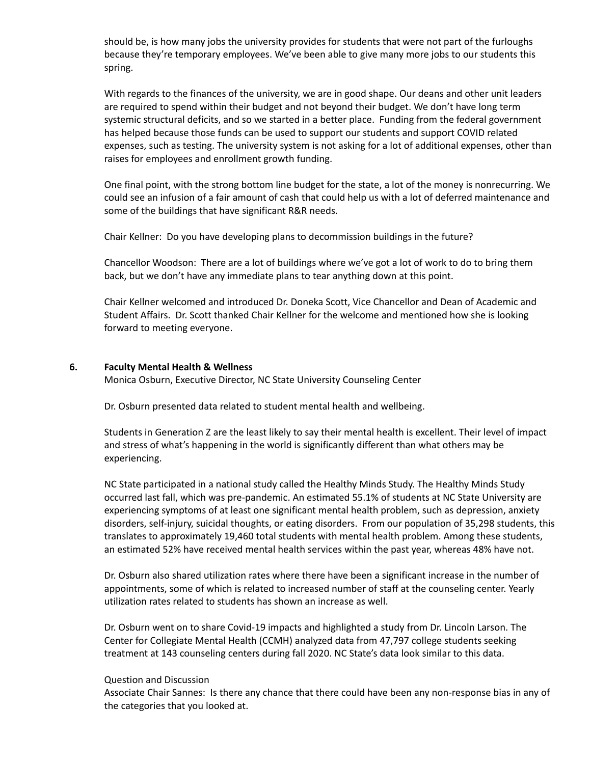should be, is how many jobs the university provides for students that were not part of the furloughs because they're temporary employees. We've been able to give many more jobs to our students this spring.

With regards to the finances of the university, we are in good shape. Our deans and other unit leaders are required to spend within their budget and not beyond their budget. We don't have long term systemic structural deficits, and so we started in a better place. Funding from the federal government has helped because those funds can be used to support our students and support COVID related expenses, such as testing. The university system is not asking for a lot of additional expenses, other than raises for employees and enrollment growth funding.

One final point, with the strong bottom line budget for the state, a lot of the money is nonrecurring. We could see an infusion of a fair amount of cash that could help us with a lot of deferred maintenance and some of the buildings that have significant R&R needs.

Chair Kellner: Do you have developing plans to decommission buildings in the future?

Chancellor Woodson: There are a lot of buildings where we've got a lot of work to do to bring them back, but we don't have any immediate plans to tear anything down at this point.

Chair Kellner welcomed and introduced Dr. Doneka Scott, Vice Chancellor and Dean of Academic and Student Affairs. Dr. Scott thanked Chair Kellner for the welcome and mentioned how she is looking forward to meeting everyone.

#### **6. Faculty Mental Health & Wellness**

Monica Osburn, Executive Director, NC State University Counseling Center

Dr. Osburn presented data related to student mental health and wellbeing.

Students in Generation Z are the least likely to say their mental health is excellent. Their level of impact and stress of what's happening in the world is significantly different than what others may be experiencing.

NC State participated in a national study called the Healthy Minds Study. The Healthy Minds Study occurred last fall, which was pre-pandemic. An estimated 55.1% of students at NC State University are experiencing symptoms of at least one significant mental health problem, such as depression, anxiety disorders, self-injury, suicidal thoughts, or eating disorders. From our population of 35,298 students, this translates to approximately 19,460 total students with mental health problem. Among these students, an estimated 52% have received mental health services within the past year, whereas 48% have not.

Dr. Osburn also shared utilization rates where there have been a significant increase in the number of appointments, some of which is related to increased number of staff at the counseling center. Yearly utilization rates related to students has shown an increase as well.

Dr. Osburn went on to share Covid-19 impacts and highlighted a study from Dr. Lincoln Larson. The Center for Collegiate Mental Health (CCMH) analyzed data from 47,797 college students seeking treatment at 143 counseling centers during fall 2020. NC State's data look similar to this data.

#### Question and Discussion

Associate Chair Sannes: Is there any chance that there could have been any non-response bias in any of the categories that you looked at.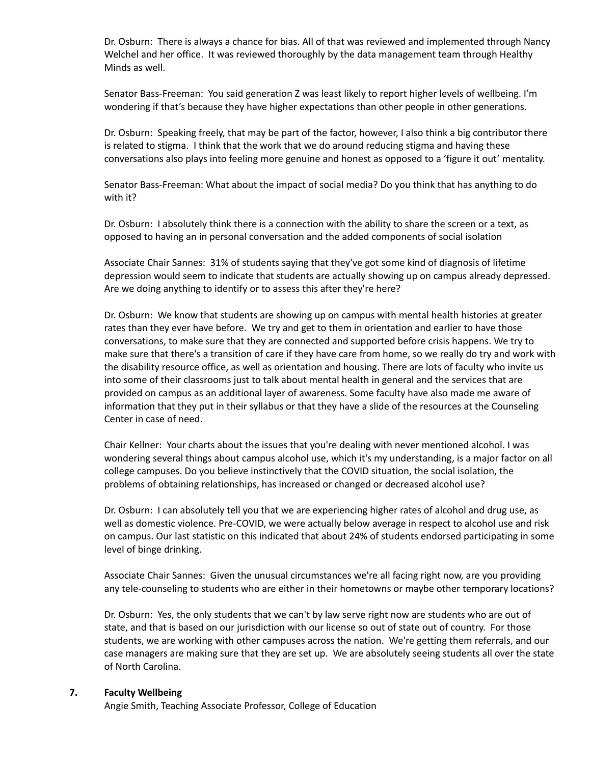Dr. Osburn: There is always a chance for bias. All of that was reviewed and implemented through Nancy Welchel and her office. It was reviewed thoroughly by the data management team through Healthy Minds as well.

Senator Bass-Freeman: You said generation Z was least likely to report higher levels of wellbeing. I'm wondering if that's because they have higher expectations than other people in other generations.

Dr. Osburn: Speaking freely, that may be part of the factor, however, I also think a big contributor there is related to stigma. I think that the work that we do around reducing stigma and having these conversations also plays into feeling more genuine and honest as opposed to a 'figure it out' mentality.

Senator Bass-Freeman: What about the impact of social media? Do you think that has anything to do with it?

Dr. Osburn: I absolutely think there is a connection with the ability to share the screen or a text, as opposed to having an in personal conversation and the added components of social isolation

Associate Chair Sannes: 31% of students saying that they've got some kind of diagnosis of lifetime depression would seem to indicate that students are actually showing up on campus already depressed. Are we doing anything to identify or to assess this after they're here?

Dr. Osburn: We know that students are showing up on campus with mental health histories at greater rates than they ever have before. We try and get to them in orientation and earlier to have those conversations, to make sure that they are connected and supported before crisis happens. We try to make sure that there's a transition of care if they have care from home, so we really do try and work with the disability resource office, as well as orientation and housing. There are lots of faculty who invite us into some of their classrooms just to talk about mental health in general and the services that are provided on campus as an additional layer of awareness. Some faculty have also made me aware of information that they put in their syllabus or that they have a slide of the resources at the Counseling Center in case of need.

Chair Kellner: Your charts about the issues that you're dealing with never mentioned alcohol. I was wondering several things about campus alcohol use, which it's my understanding, is a major factor on all college campuses. Do you believe instinctively that the COVID situation, the social isolation, the problems of obtaining relationships, has increased or changed or decreased alcohol use?

Dr. Osburn: I can absolutely tell you that we are experiencing higher rates of alcohol and drug use, as well as domestic violence. Pre-COVID, we were actually below average in respect to alcohol use and risk on campus. Our last statistic on this indicated that about 24% of students endorsed participating in some level of binge drinking.

Associate Chair Sannes: Given the unusual circumstances we're all facing right now, are you providing any tele-counseling to students who are either in their hometowns or maybe other temporary locations?

Dr. Osburn: Yes, the only students that we can't by law serve right now are students who are out of state, and that is based on our jurisdiction with our license so out of state out of country. For those students, we are working with other campuses across the nation. We're getting them referrals, and our case managers are making sure that they are set up. We are absolutely seeing students all over the state of North Carolina.

#### **7. Faculty Wellbeing**

Angie Smith, Teaching Associate Professor, College of Education